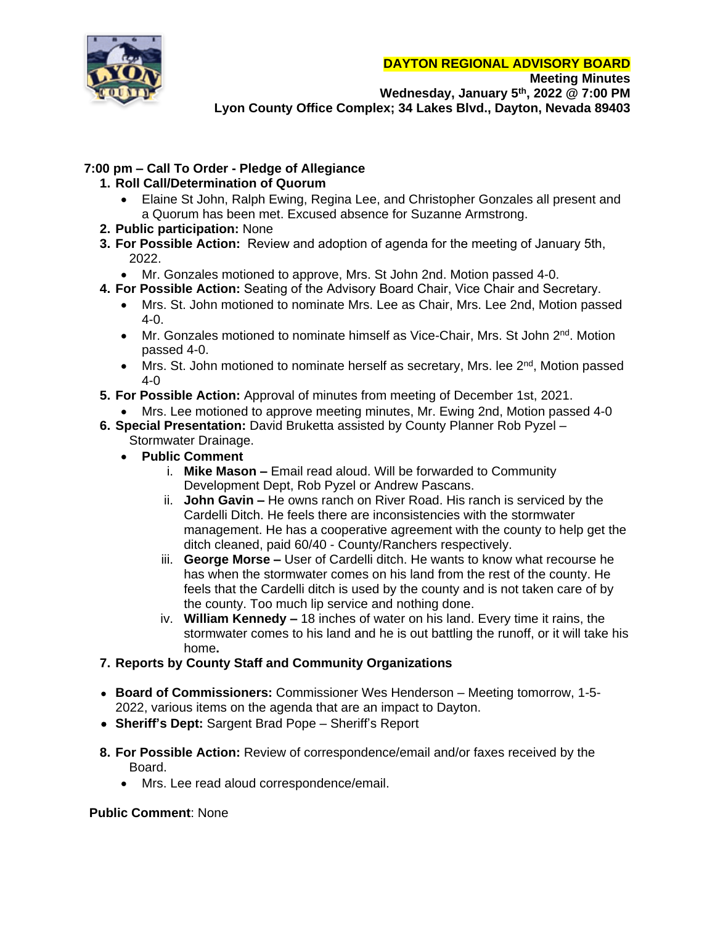**DAYTON REGIONAL ADVISORY BOARD**



**Meeting Minutes Wednesday, January 5th, 2022 @ 7:00 PM Lyon County Office Complex; 34 Lakes Blvd., Dayton, Nevada 89403**

# **7:00 pm – Call To Order - Pledge of Allegiance**

# **1. Roll Call/Determination of Quorum**

- Elaine St John, Ralph Ewing, Regina Lee, and Christopher Gonzales all present and a Quorum has been met. Excused absence for Suzanne Armstrong.
- **2. Public participation:** None
- **3. For Possible Action:** Review and adoption of agenda for the meeting of January 5th, 2022.
	- Mr. Gonzales motioned to approve, Mrs. St John 2nd. Motion passed 4-0.
- **4. For Possible Action:** Seating of the Advisory Board Chair, Vice Chair and Secretary.
	- Mrs. St. John motioned to nominate Mrs. Lee as Chair, Mrs. Lee 2nd, Motion passed 4-0.
	- Mr. Gonzales motioned to nominate himself as Vice-Chair, Mrs. St John 2<sup>nd</sup>. Motion passed 4-0.
	- Mrs. St. John motioned to nominate herself as secretary, Mrs. lee 2<sup>nd</sup>, Motion passed 4-0
- **5. For Possible Action:** Approval of minutes from meeting of December 1st, 2021.
	- Mrs. Lee motioned to approve meeting minutes, Mr. Ewing 2nd, Motion passed 4-0
- **6. Special Presentation:** David Bruketta assisted by County Planner Rob Pyzel
	- Stormwater Drainage.
	- **Public Comment**
		- i. **Mike Mason –** Email read aloud. Will be forwarded to Community Development Dept, Rob Pyzel or Andrew Pascans.
		- ii. **John Gavin –** He owns ranch on River Road. His ranch is serviced by the Cardelli Ditch. He feels there are inconsistencies with the stormwater management. He has a cooperative agreement with the county to help get the ditch cleaned, paid 60/40 - County/Ranchers respectively.
		- iii. **George Morse –** User of Cardelli ditch. He wants to know what recourse he has when the stormwater comes on his land from the rest of the county. He feels that the Cardelli ditch is used by the county and is not taken care of by the county. Too much lip service and nothing done.
		- iv. **William Kennedy –** 18 inches of water on his land. Every time it rains, the stormwater comes to his land and he is out battling the runoff, or it will take his home**.**

# **7. Reports by County Staff and Community Organizations**

- **Board of Commissioners:** Commissioner Wes Henderson Meeting tomorrow, 1-5- 2022, various items on the agenda that are an impact to Dayton.
- **Sheriff's Dept:** Sargent Brad Pope Sheriff's Report
- **8. For Possible Action:** Review of correspondence/email and/or faxes received by the Board.
	- Mrs. Lee read aloud correspondence/email.

# **Public Comment**: None